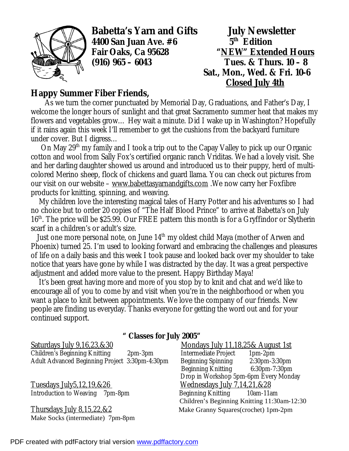

**Babetta's Yarn and Gifts July Newsletter 4400 San Juan Ave. #6 5th**

 $5<sup>th</sup>$  **Edition Fair Oaks, Ca 95628 "NEW" Extended Hours (916) 965 – 6043 Tues. & Thurs. 10 – 8 Sat., Mon., Wed. & Fri. 10-6 Closed July 4th**

## **Happy Summer Fiber Friends,**

 As we turn the corner punctuated by Memorial Day, Graduations, and Father's Day, I welcome the longer hours of sunlight and that great Sacramento summer heat that makes my flowers and vegetables grow… Hey wait a minute. Did I wake up in Washington? Hopefully if it rains again this week I'll remember to get the cushions from the backyard furniture under cover. But I digress…

 On May 29th my family and I took a trip out to the Capay Valley to pick up our Organic cotton and wool from Sally Fox's certified organic ranch Vriditas. We had a lovely visit. She and her darling daughter showed us around and introduced us to their puppy, herd of multicolored Merino sheep, flock of chickens and guard llama. You can check out pictures from our visit on our website – [www.babettasyarnandgifts.com](http://www.babettasyarnandgifts.com) .We now carry her Foxfibre products for knitting, spinning, and weaving.

 My children love the interesting magical tales of Harry Potter and his adventures so I had no choice but to order 20 copies of "The Half Blood Prince" to arrive at Babetta's on July 16<sup>th</sup>. The price will be \$25.99. Our FREE pattern this month is for a Gryffindor or Slytherin scarf in a children's or adult's size.

Just one more personal note, on June 14<sup>th</sup> my oldest child Maya (mother of Arwen and Phoenix) turned 25. I'm used to looking forward and embracing the challenges and pleasures of life on a daily basis and this week I took pause and looked back over my shoulder to take notice that years have gone by while I was distracted by the day. It was a great perspective adjustment and added more value to the present. Happy Birthday Maya!

 It's been great having more and more of you stop by to knit and chat and we'd like to encourage all of you to come by and visit when you're in the neighborhood or when you want a place to knit between appointments. We love the company of our friends. New people are finding us everyday. Thanks everyone for getting the word out and for your continued support.

|                                                       | " Classes for July 2005" |                |
|-------------------------------------------------------|--------------------------|----------------|
| Saturdays July 9,16,23,&30                            |                          | Mond           |
| <b>Children's Beginning Knitting</b>                  | $2pm-3pm$                | Interme        |
| <b>Adult Advanced Beginning Project 3:30pm-4:30pm</b> |                          | <b>Beginni</b> |

Tuesdays July5,12,19,&26 Wednesdays July 7,14,21,&28 Introduction to Weaving 7pm-8pm Beginning Knitting 10am-11am

Make Socks (intermediate) 7pm-8pm

## Mondays July 11,18,25& August 1st Intermediate Project 1pm-2pm Beginning Spinning 2:30pm-3:30pm Beginning Knitting 6:30pm-7:30pm Drop in Workshop 5pm-6pm Every Monday Children's Beginning Knitting 11:30am-12:30 Thursdays July 8,15,22, & 2